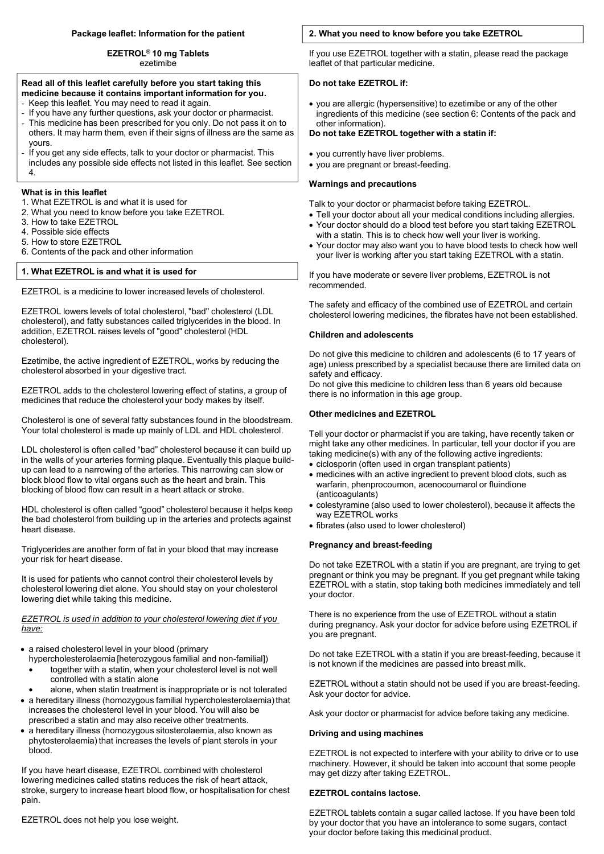# **Package leaflet: Information for the patient**

**EZETROL® 10 mg Tablets** ezetimibe

#### **Read all of this leaflet carefully before you start taking this medicine because it contains important information for you.**

- Keep this leaflet. You may need to read it again.
- If you have any further questions, ask your doctor or pharmacist.
- This medicine has been prescribed for you only. Do not pass it on to others. It may harm them, even if their signs of illness are the same as yours.
- If you get any side effects, talk to your doctor or pharmacist. This includes any possible side effects not listed in this leaflet. See section 4.

# **What is in this leaflet**

- 1. What EZETROL is and what it is used for
- 2. What you need to know before you take EZETROL
- 3. How to take EZETROL
- 4. Possible side effects
- 5. How to store EZETROL
- 6. Contents of the pack and other information

# **1. What EZETROL is and what it is used for**

EZETROL is a medicine to lower increased levels of cholesterol.

EZETROL lowers levels of total cholesterol, "bad" cholesterol (LDL cholesterol), and fatty substances called triglycerides in the blood. In addition, EZETROL raises levels of "good" cholesterol (HDL cholesterol).

Ezetimibe, the active ingredient of EZETROL, works by reducing the cholesterol absorbed in your digestive tract.

EZETROL adds to the cholesterol lowering effect of statins, a group of medicines that reduce the cholesterol your body makes by itself.

Cholesterol is one of several fatty substances found in the bloodstream. Your total cholesterol is made up mainly of LDL and HDL cholesterol.

LDL cholesterol is often called "bad" cholesterol because it can build up in the walls of your arteries forming plaque. Eventually this plaque buildup can lead to a narrowing of the arteries. This narrowing can slow or block blood flow to vital organs such as the heart and brain. This blocking of blood flow can result in a heart attack or stroke.

HDL cholesterol is often called "good" cholesterol because it helps keep the bad cholesterol from building up in the arteries and protects against heart disease.

Triglycerides are another form of fat in your blood that may increase your risk for heart disease.

It is used for patients who cannot control their cholesterol levels by cholesterol lowering diet alone. You should stay on your cholesterol lowering diet while taking this medicine.

### *EZETROL is used in addition to your cholesterol lowering diet if you have:*

- a raised cholesterol level in your blood (primary
	- hypercholesterolaemia [heterozygous familial and non-familial]) together with a statin, when your cholesterol level is not well
	- controlled with a statin alone
- alone, when statin treatment is inappropriate or is not tolerated a hereditary illness (homozygous familial hypercholesterolaemia) that
- increases the cholesterol level in your blood. You will also be prescribed a statin and may also receive other treatments.
- a hereditary illness (homozygous sitosterolaemia, also known as phytosterolaemia) that increases the levels of plant sterols in your blood.

If you have heart disease, EZETROL combined with cholesterol lowering medicines called statins reduces the risk of heart attack, stroke, surgery to increase heart blood flow, or hospitalisation for chest pain.

# EZETROL does not help you lose weight.

# **2. What you need to know before you take EZETROL**

If you use EZETROL together with a statin, please read the package leaflet of that particular medicine.

# **Do not take EZETROL if:**

 you are allergic (hypersensitive) to ezetimibe or any of the other ingredients of this medicine (see section 6: Contents of the pack and other information).

### **Do not take EZETROL together with a statin if:**

- you currently have liver problems.
- you are pregnant or breast-feeding.

### **Warnings and precautions**

Talk to your doctor or pharmacist before taking EZETROL.

- Tell your doctor about all your medical conditions including allergies.
- Your doctor should do a blood test before you start taking EZETROL with a statin. This is to check how well your liver is working.
- Your doctor may also want you to have blood tests to check how well your liver is working after you start taking EZETROL with a statin.

If you have moderate or severe liver problems, EZETROL is not recommended.

The safety and efficacy of the combined use of EZETROL and certain cholesterol lowering medicines, the fibrates have not been established.

# **Children and adolescents**

Do not give this medicine to children and adolescents (6 to 17 years of age) unless prescribed by a specialist because there are limited data on safety and efficacy.

Do not give this medicine to children less than 6 years old because there is no information in this age group.

# **Other medicines and EZETROL**

Tell your doctor or pharmacist if you are taking, have recently taken or might take any other medicines. In particular, tell your doctor if you are taking medicine(s) with any of the following active ingredients:

- ciclosporin (often used in organ transplant patients)
- medicines with an active ingredient to prevent blood clots, such as warfarin, phenprocoumon, acenocoumarol or fluindione (anticoagulants)
- colestyramine (also used to lower cholesterol), because it affects the way EZETROL works
- fibrates (also used to lower cholesterol)

# **Pregnancy and breast-feeding**

Do not take EZETROL with a statin if you are pregnant, are trying to get pregnant or think you may be pregnant. If you get pregnant while taking EZETROL with a statin, stop taking both medicines immediately and tell your doctor.

There is no experience from the use of EZETROL without a statin during pregnancy. Ask your doctor for advice before using EZETROL if you are pregnant.

Do not take EZETROL with a statin if you are breast-feeding, because it is not known if the medicines are passed into breast milk.

EZETROL without a statin should not be used if you are breast-feeding. Ask your doctor for advice.

Ask your doctor or pharmacist for advice before taking any medicine.

# **Driving and using machines**

EZETROL is not expected to interfere with your ability to drive or to use machinery. However, it should be taken into account that some people may get dizzy after taking EZETROL.

# **EZETROL contains lactose.**

EZETROL tablets contain a sugar called lactose. If you have been told by your doctor that you have an intolerance to some sugars, contact your doctor before taking this medicinal product.